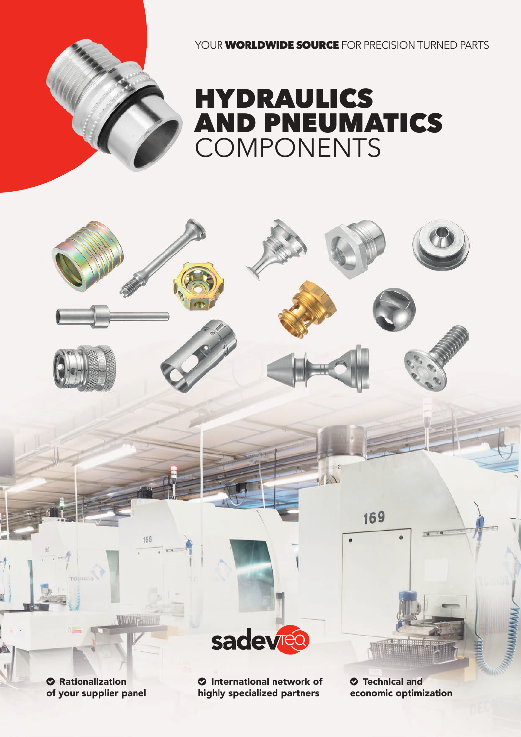YOUR **WORLDWIDE SOURCE** FOR PRECISION TURNED PARTS



# HYDRAULICS AND PNEUMATICS COMPONENTS



**O** Rationalization of your supplier panel **O** International network of highly specialized partners

 Technical and economic optimization